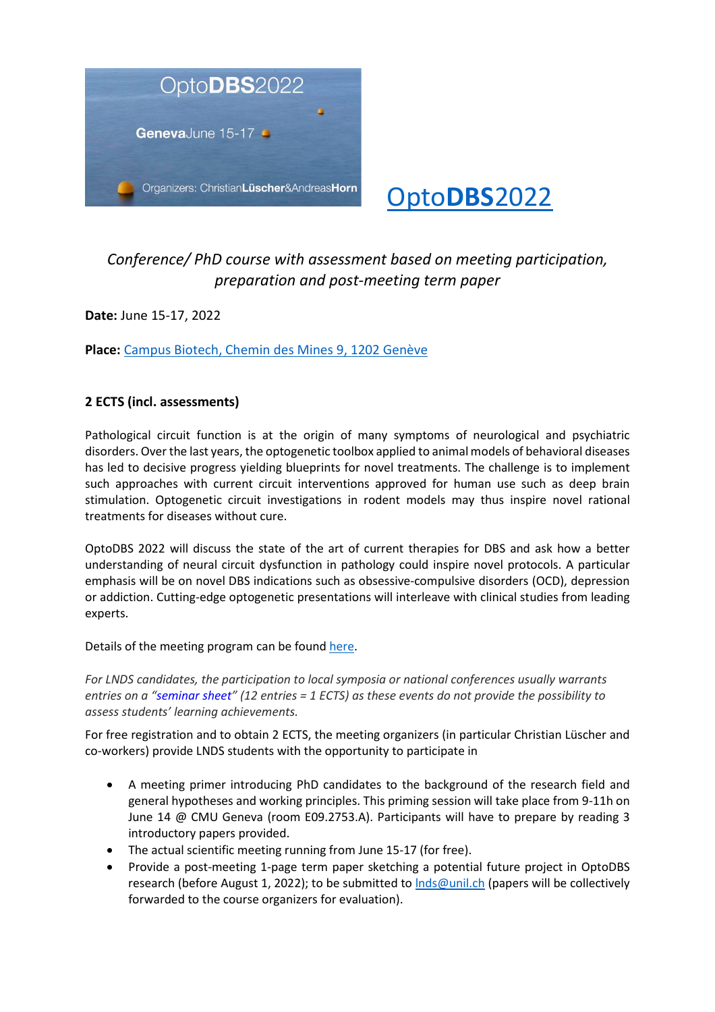

## [Opto](https://optodbs.ch/)**DBS**2022

## *Conference/ PhD course with assessment based on meeting participation, preparation and post-meeting term paper*

**Date:** June 15-17, 2022

**Place:** [Campus Biotech, Chemin des Mines 9, 1202 Genève](https://optodbs.ch/congress-venue/)

## **2 ECTS (incl. assessments)**

Pathological circuit function is at the origin of many symptoms of neurological and psychiatric disorders. Over the last years, the optogenetic toolbox applied to animal models of behavioral diseases has led to decisive progress yielding blueprints for novel treatments. The challenge is to implement such approaches with current circuit interventions approved for human use such as deep brain stimulation. Optogenetic circuit investigations in rodent models may thus inspire novel rational treatments for diseases without cure.

OptoDBS 2022 will discuss the state of the art of current therapies for DBS and ask how a better understanding of neural circuit dysfunction in pathology could inspire novel protocols. A particular emphasis will be on novel DBS indications such as obsessive-compulsive disorders (OCD), depression or addiction. Cutting-edge optogenetic presentations will interleave with clinical studies from leading experts.

Details of the meeting program can be found [here.](https://optodbs.ch/program/)

*For LNDS candidates, the participation to local symposia or national conferences usually warrants entries on a "seminar sheet" (12 entries = 1 ECTS) as these events do not provide the possibility to assess students' learning achievements.* 

For free registration and to obtain 2 ECTS, the meeting organizers (in particular Christian Lüscher and co-workers) provide LNDS students with the opportunity to participate in

- A meeting primer introducing PhD candidates to the background of the research field and general hypotheses and working principles. This priming session will take place from 9-11h on June 14 @ CMU Geneva (room E09.2753.A). Participants will have to prepare by reading 3 introductory papers provided.
- The actual scientific meeting running from June 15-17 (for free).
- Provide a post-meeting 1-page term paper sketching a potential future project in OptoDBS research (before August 1, 2022); to be submitted to *Inds@unil.ch* (papers will be collectively forwarded to the course organizers for evaluation).